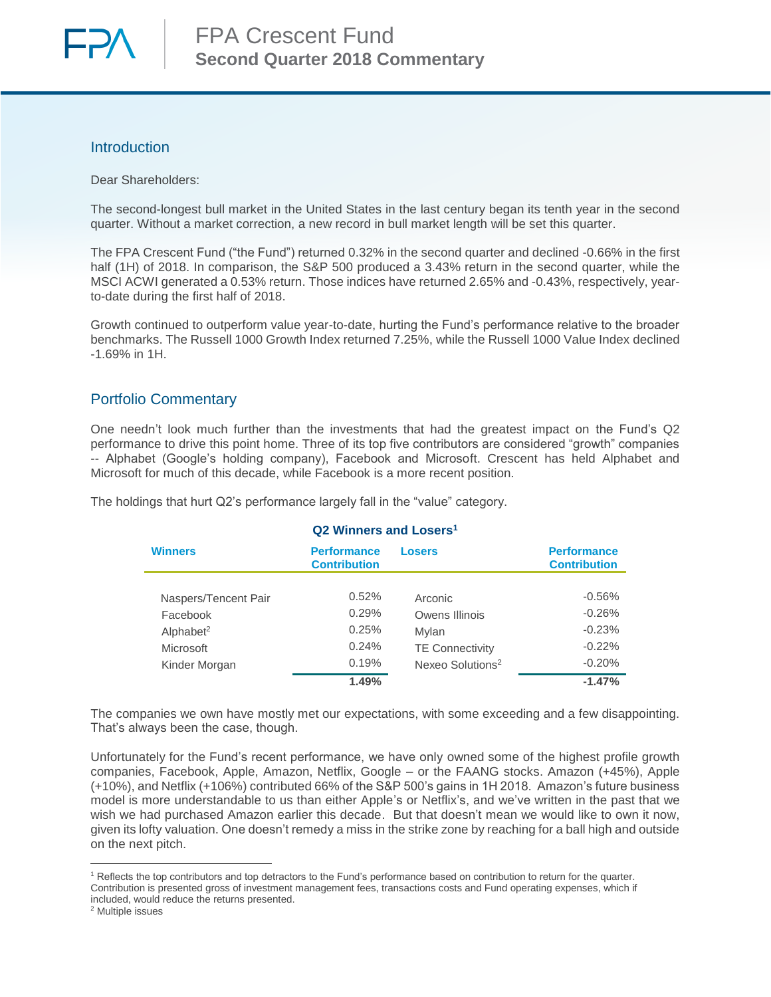

## Introduction

Dear Shareholders:

The second-longest bull market in the United States in the last century began its tenth year in the second quarter. Without a market correction, a new record in bull market length will be set this quarter.

The FPA Crescent Fund ("the Fund") returned 0.32% in the second quarter and declined -0.66% in the first half (1H) of 2018. In comparison, the S&P 500 produced a 3.43% return in the second quarter, while the MSCI ACWI generated a 0.53% return. Those indices have returned 2.65% and -0.43%, respectively, yearto-date during the first half of 2018.

Growth continued to outperform value year-to-date, hurting the Fund's performance relative to the broader benchmarks. The Russell 1000 Growth Index returned 7.25%, while the Russell 1000 Value Index declined -1.69% in 1H.

# Portfolio Commentary

One needn't look much further than the investments that had the greatest impact on the Fund's Q2 performance to drive this point home. Three of its top five contributors are considered "growth" companies -- Alphabet (Google's holding company), Facebook and Microsoft. Crescent has held Alphabet and Microsoft for much of this decade, while Facebook is a more recent position.

<span id="page-0-0"></span>

| Q2 Winners and Losers <sup>1</sup> |                                                            |                              |                                           |  |  |  |  |
|------------------------------------|------------------------------------------------------------|------------------------------|-------------------------------------------|--|--|--|--|
| <b>Winners</b>                     | <b>Performance</b><br><b>Losers</b><br><b>Contribution</b> |                              | <b>Performance</b><br><b>Contribution</b> |  |  |  |  |
|                                    |                                                            |                              |                                           |  |  |  |  |
| Naspers/Tencent Pair               | 0.52%                                                      | Arconic                      | $-0.56%$                                  |  |  |  |  |
| Facebook                           | 0.29%                                                      | Owens Illinois               | $-0.26%$                                  |  |  |  |  |
| Alphabet <sup>2</sup>              | 0.25%                                                      | Mylan                        | $-0.23%$                                  |  |  |  |  |
| Microsoft                          | 0.24%                                                      | <b>TE Connectivity</b>       | $-0.22%$                                  |  |  |  |  |
| Kinder Morgan                      | 0.19%                                                      | Nexeo Solutions <sup>2</sup> | $-0.20%$                                  |  |  |  |  |
|                                    | 1.49%                                                      |                              | $-1.47%$                                  |  |  |  |  |

The holdings that hurt Q2's performance largely fall in the "value" category.

The companies we own have mostly met our expectations, with some exceeding and a few disappointing. That's always been the case, though.

Unfortunately for the Fund's recent performance, we have only owned some of the highest profile growth companies, Facebook, Apple, Amazon, Netflix, Google – or the FAANG stocks. Amazon (+45%), Apple (+10%), and Netflix (+106%) contributed 66% of the S&P 500's gains in 1H 2018. Amazon's future business model is more understandable to us than either Apple's or Netflix's, and we've written in the past that we wish we had purchased Amazon earlier this decade. But that doesn't mean we would like to own it now, given its lofty valuation. One doesn't remedy a miss in the strike zone by reaching for a ball high and outside on the next pitch.

 $\overline{\phantom{a}}$ 

<sup>&</sup>lt;sup>1</sup> Reflects the top contributors and top detractors to the Fund's performance based on contribution to return for the quarter. Contribution is presented gross of investment management fees, transactions costs and Fund operating expenses, which if included, would reduce the returns presented.

<sup>2</sup> Multiple issues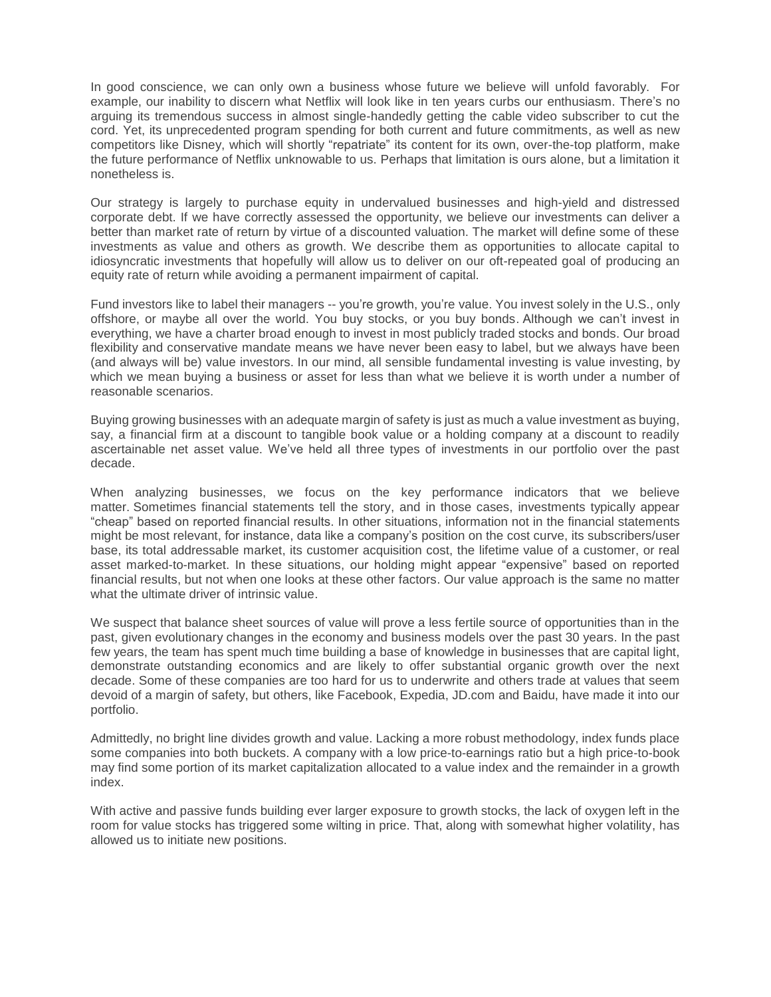In good conscience, we can only own a business whose future we believe will unfold favorably. For example, our inability to discern what Netflix will look like in ten years curbs our enthusiasm. There's no arguing its tremendous success in almost single-handedly getting the cable video subscriber to cut the cord. Yet, its unprecedented program spending for both current and future commitments, as well as new competitors like Disney, which will shortly "repatriate" its content for its own, over-the-top platform, make the future performance of Netflix unknowable to us. Perhaps that limitation is ours alone, but a limitation it nonetheless is.

Our strategy is largely to purchase equity in undervalued businesses and high-yield and distressed corporate debt. If we have correctly assessed the opportunity, we believe our investments can deliver a better than market rate of return by virtue of a discounted valuation. The market will define some of these investments as value and others as growth. We describe them as opportunities to allocate capital to idiosyncratic investments that hopefully will allow us to deliver on our oft-repeated goal of producing an equity rate of return while avoiding a permanent impairment of capital.

Fund investors like to label their managers -- you're growth, you're value. You invest solely in the U.S., only offshore, or maybe all over the world. You buy stocks, or you buy bonds. Although we can't invest in everything, we have a charter broad enough to invest in most publicly traded stocks and bonds. Our broad flexibility and conservative mandate means we have never been easy to label, but we always have been (and always will be) value investors. In our mind, all sensible fundamental investing is value investing, by which we mean buying a business or asset for less than what we believe it is worth under a number of reasonable scenarios.

Buying growing businesses with an adequate margin of safety is just as much a value investment as buying, say, a financial firm at a discount to tangible book value or a holding company at a discount to readily ascertainable net asset value. We've held all three types of investments in our portfolio over the past decade.

When analyzing businesses, we focus on the key performance indicators that we believe matter. Sometimes financial statements tell the story, and in those cases, investments typically appear "cheap" based on reported financial results. In other situations, information not in the financial statements might be most relevant, for instance, data like a company's position on the cost curve, its subscribers/user base, its total addressable market, its customer acquisition cost, the lifetime value of a customer, or real asset marked-to-market. In these situations, our holding might appear "expensive" based on reported financial results, but not when one looks at these other factors. Our value approach is the same no matter what the ultimate driver of intrinsic value.

We suspect that balance sheet sources of value will prove a less fertile source of opportunities than in the past, given evolutionary changes in the economy and business models over the past 30 years. In the past few years, the team has spent much time building a base of knowledge in businesses that are capital light, demonstrate outstanding economics and are likely to offer substantial organic growth over the next decade. Some of these companies are too hard for us to underwrite and others trade at values that seem devoid of a margin of safety, but others, like Facebook, Expedia, JD.com and Baidu, have made it into our portfolio.

Admittedly, no bright line divides growth and value. Lacking a more robust methodology, index funds place some companies into both buckets. A company with a low price-to-earnings ratio but a high price-to-book may find some portion of its market capitalization allocated to a value index and the remainder in a growth index.

With active and passive funds building ever larger exposure to growth stocks, the lack of oxygen left in the room for value stocks has triggered some wilting in price. That, along with somewhat higher volatility, has allowed us to initiate new positions.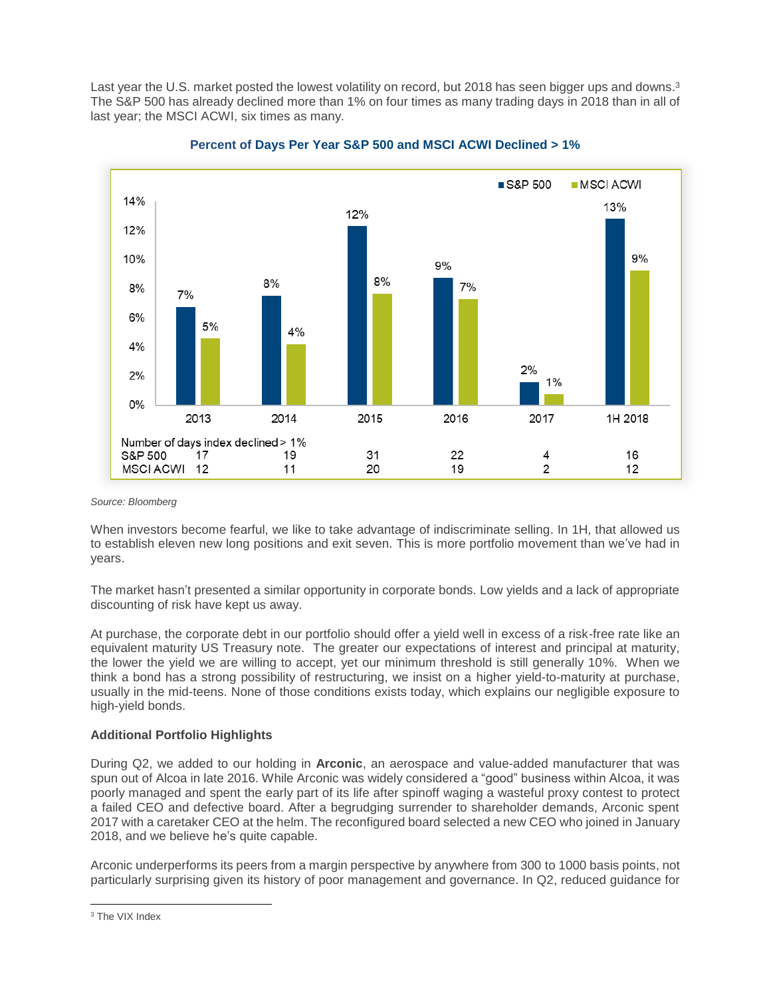Last year the U.S. market posted the lowest volatility on record, but 2018 has seen bigger ups and downs.<sup>3</sup> The S&P 500 has already declined more than 1% on four times as many trading days in 2018 than in all of last year; the MSCI ACWI, six times as many.





#### *Source: Bloomberg*

When investors become fearful, we like to take advantage of indiscriminate selling. In 1H, that allowed us to establish eleven new long positions and exit seven. This is more portfolio movement than we've had in years.

The market hasn't presented a similar opportunity in corporate bonds. Low yields and a lack of appropriate discounting of risk have kept us away.

At purchase, the corporate debt in our portfolio should offer a yield well in excess of a risk-free rate like an equivalent maturity US Treasury note. The greater our expectations of interest and principal at maturity, the lower the yield we are willing to accept, yet our minimum threshold is still generally 10%. When we think a bond has a strong possibility of restructuring, we insist on a higher yield-to-maturity at purchase, usually in the mid-teens. None of those conditions exists today, which explains our negligible exposure to high-yield bonds.

### **Additional Portfolio Highlights**

During Q2, we added to our holding in **Arconic**, an aerospace and value-added manufacturer that was spun out of Alcoa in late 2016. While Arconic was widely considered a "good" business within Alcoa, it was poorly managed and spent the early part of its life after spinoff waging a wasteful proxy contest to protect a failed CEO and defective board. After a begrudging surrender to shareholder demands, Arconic spent 2017 with a caretaker CEO at the helm. The reconfigured board selected a new CEO who joined in January 2018, and we believe he's quite capable.

Arconic underperforms its peers from a margin perspective by anywhere from 300 to 1000 basis points, not particularly surprising given its history of poor management and governance. In Q2, reduced guidance for

 $\overline{\phantom{a}}$ <sup>3</sup> The VIX Index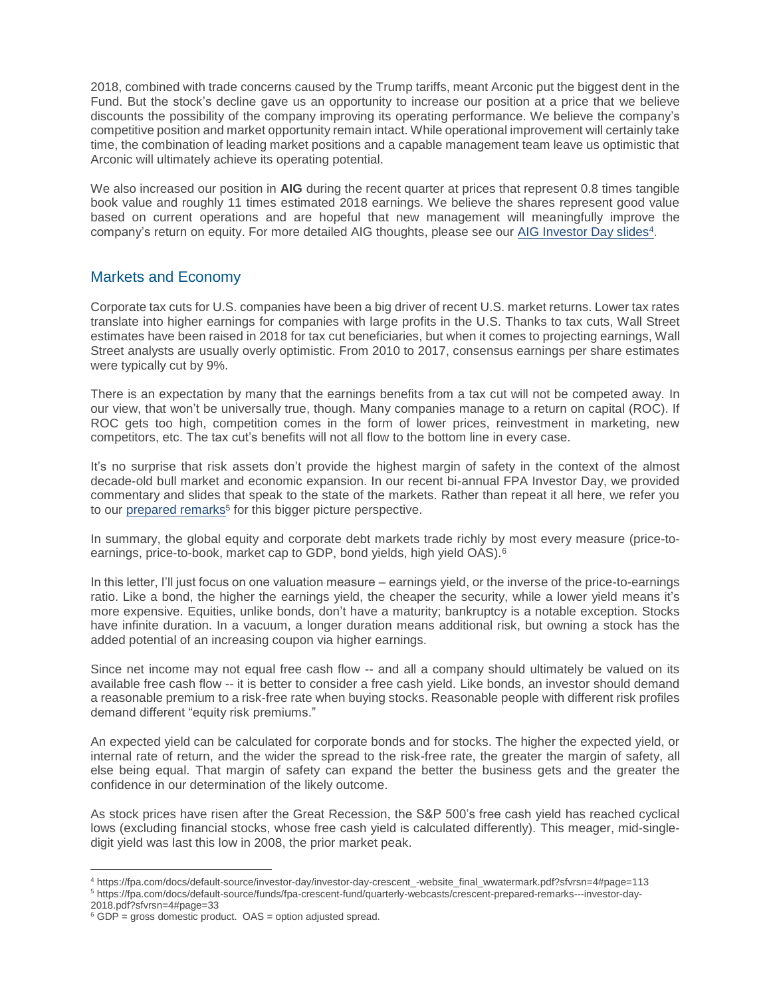2018, combined with trade concerns caused by the Trump tariffs, meant Arconic put the biggest dent in the Fund. But the stock's decline gave us an opportunity to increase our position at a price that we believe discounts the possibility of the company improving its operating performance. We believe the company's competitive position and market opportunity remain intact. While operational improvement will certainly take time, the combination of leading market positions and a capable management team leave us optimistic that Arconic will ultimately achieve its operating potential.

We also increased our position in **AIG** during the recent quarter at prices that represent 0.8 times tangible book value and roughly 11 times estimated 2018 earnings. We believe the shares represent good value based on current operations and are hopeful that new management will meaningfully improve the company's return on equity. For more detailed AIG thoughts, please see our [AIG Investor Day slides](https://fpa.com/docs/default-source/investor-day/investor-day-crescent_-website_final_wwatermark.pdf?sfvrsn=4#page=113)<sup>4</sup>.

# Markets and Economy

Corporate tax cuts for U.S. companies have been a big driver of recent U.S. market returns. Lower tax rates translate into higher earnings for companies with large profits in the U.S. Thanks to tax cuts, Wall Street estimates have been raised in 2018 for tax cut beneficiaries, but when it comes to projecting earnings, Wall Street analysts are usually overly optimistic. From 2010 to 2017, consensus earnings per share estimates were typically cut by 9%.

There is an expectation by many that the earnings benefits from a tax cut will not be competed away. In our view, that won't be universally true, though. Many companies manage to a return on capital (ROC). If ROC gets too high, competition comes in the form of lower prices, reinvestment in marketing, new competitors, etc. The tax cut's benefits will not all flow to the bottom line in every case.

It's no surprise that risk assets don't provide the highest margin of safety in the context of the almost decade-old bull market and economic expansion. In our recent bi-annual FPA Investor Day, we provided commentary and slides that speak to the state of the markets. Rather than repeat it all here, we refer you to our [prepared remarks](https://fpa.com/docs/default-source/funds/fpa-crescent-fund/quarterly-webcasts/crescent-prepared-remarks---investor-day-2018.pdf?sfvrsn=4#page=33)<sup>5</sup> for this bigger picture perspective.

In summary, the global equity and corporate debt markets trade richly by most every measure (price-toearnings, price-to-book, market cap to GDP, bond yields, high yield OAS).<sup>6</sup>

In this letter, I'll just focus on one valuation measure – earnings yield, or the inverse of the price-to-earnings ratio. Like a bond, the higher the earnings yield, the cheaper the security, while a lower yield means it's more expensive. Equities, unlike bonds, don't have a maturity; bankruptcy is a notable exception. Stocks have infinite duration. In a vacuum, a longer duration means additional risk, but owning a stock has the added potential of an increasing coupon via higher earnings.

Since net income may not equal free cash flow -- and all a company should ultimately be valued on its available free cash flow -- it is better to consider a free cash yield. Like bonds, an investor should demand a reasonable premium to a risk-free rate when buying stocks. Reasonable people with different risk profiles demand different "equity risk premiums."

An expected yield can be calculated for corporate bonds and for stocks. The higher the expected yield, or internal rate of return, and the wider the spread to the risk-free rate, the greater the margin of safety, all else being equal. That margin of safety can expand the better the business gets and the greater the confidence in our determination of the likely outcome.

As stock prices have risen after the Great Recession, the S&P 500's free cash yield has reached cyclical lows (excluding financial stocks, whose free cash yield is calculated differently). This meager, mid-singledigit yield was last this low in 2008, the prior market peak.

2018.pdf?sfvrsn=4#page=33

 $\overline{\phantom{a}}$ <sup>4</sup> https://fpa.com/docs/default-source/investor-day/investor-day-crescent\_-website\_final\_wwatermark.pdf?sfvrsn=4#page=113 <sup>5</sup> https://fpa.com/docs/default-source/funds/fpa-crescent-fund/quarterly-webcasts/crescent-prepared-remarks---investor-day-

 $6$  GDP = gross domestic product. OAS = option adjusted spread.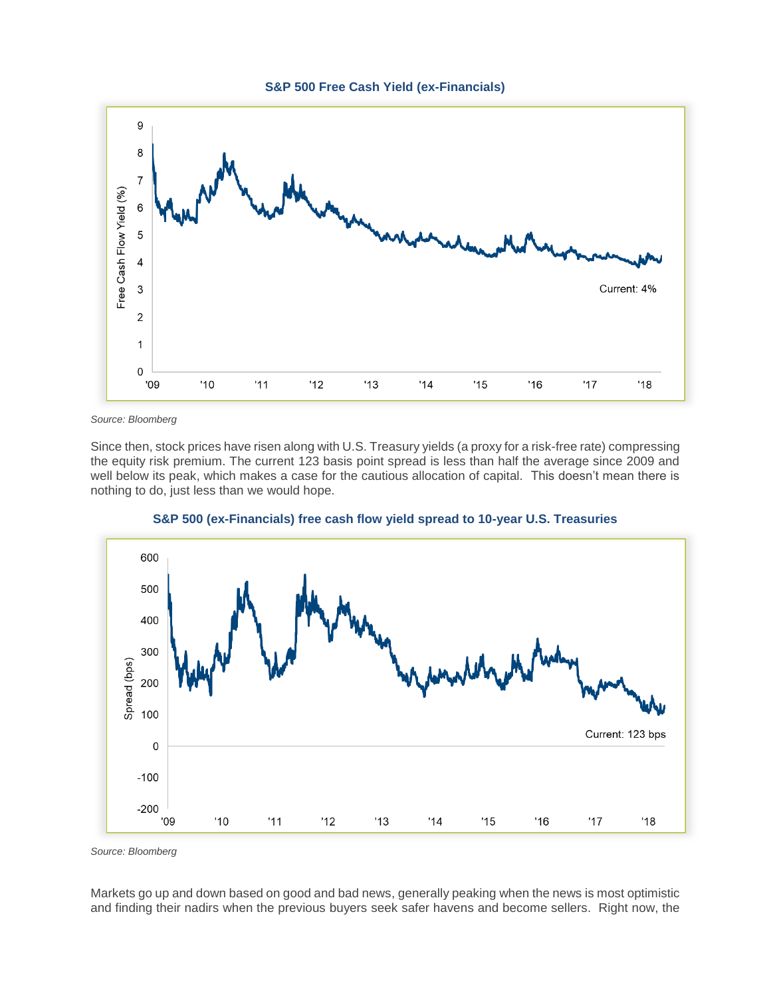



*Source: Bloomberg*

Since then, stock prices have risen along with U.S. Treasury yields (a proxy for a risk-free rate) compressing the equity risk premium. The current 123 basis point spread is less than half the average since 2009 and well below its peak, which makes a case for the cautious allocation of capital. This doesn't mean there is nothing to do, just less than we would hope.



**S&P 500 (ex-Financials) free cash flow yield spread to 10-year U.S. Treasuries**

*Source: Bloomberg*

Markets go up and down based on good and bad news, generally peaking when the news is most optimistic and finding their nadirs when the previous buyers seek safer havens and become sellers. Right now, the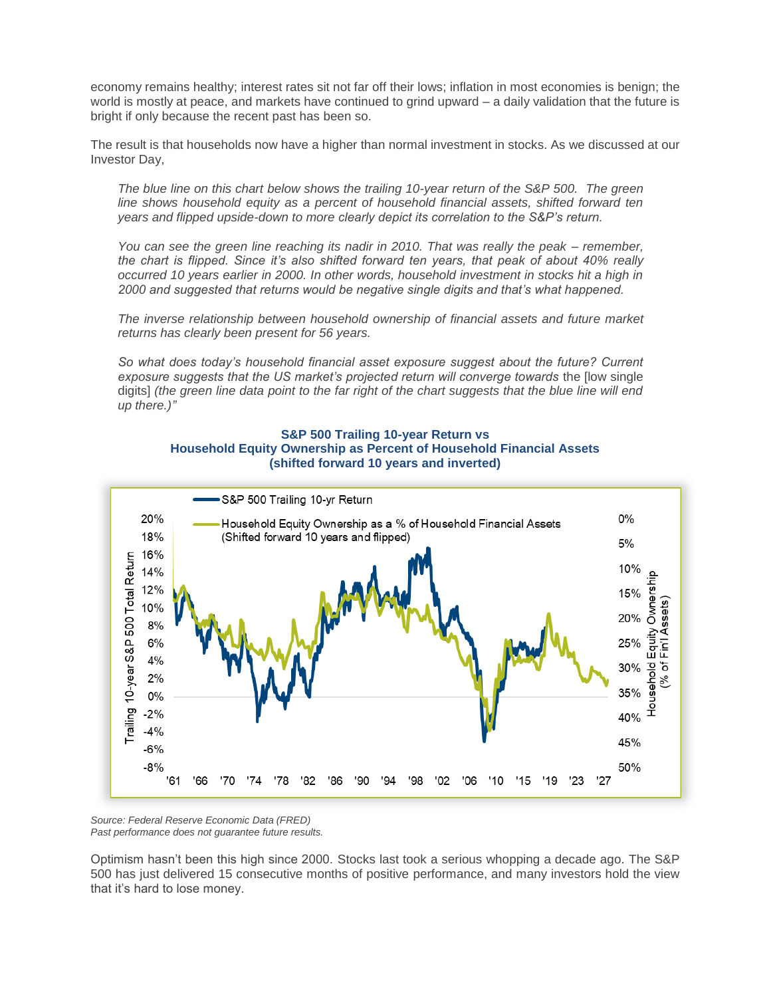economy remains healthy; interest rates sit not far off their lows; inflation in most economies is benign; the world is mostly at peace, and markets have continued to grind upward – a daily validation that the future is bright if only because the recent past has been so.

The result is that households now have a higher than normal investment in stocks. As we discussed at our Investor Day,

*The blue line on this chart below shows the trailing 10-year return of the S&P 500. The green line shows household equity as a percent of household financial assets, shifted forward ten years and flipped upside-down to more clearly depict its correlation to the S&P's return.*

*You can see the green line reaching its nadir in 2010. That was really the peak – remember, the chart is flipped. Since it's also shifted forward ten years, that peak of about 40% really occurred 10 years earlier in 2000. In other words, household investment in stocks hit a high in 2000 and suggested that returns would be negative single digits and that's what happened.* 

*The inverse relationship between household ownership of financial assets and future market returns has clearly been present for 56 years.* 

*So what does today's household financial asset exposure suggest about the future? Current*  exposure suggests that the US market's projected return will converge towards the llow single digits] *(the green line data point to the far right of the chart suggests that the blue line will end up there.)"*





*Source: Federal Reserve Economic Data (FRED) Past performance does not guarantee future results.*

Optimism hasn't been this high since 2000. Stocks last took a serious whopping a decade ago. The S&P 500 has just delivered 15 consecutive months of positive performance, and many investors hold the view that it's hard to lose money.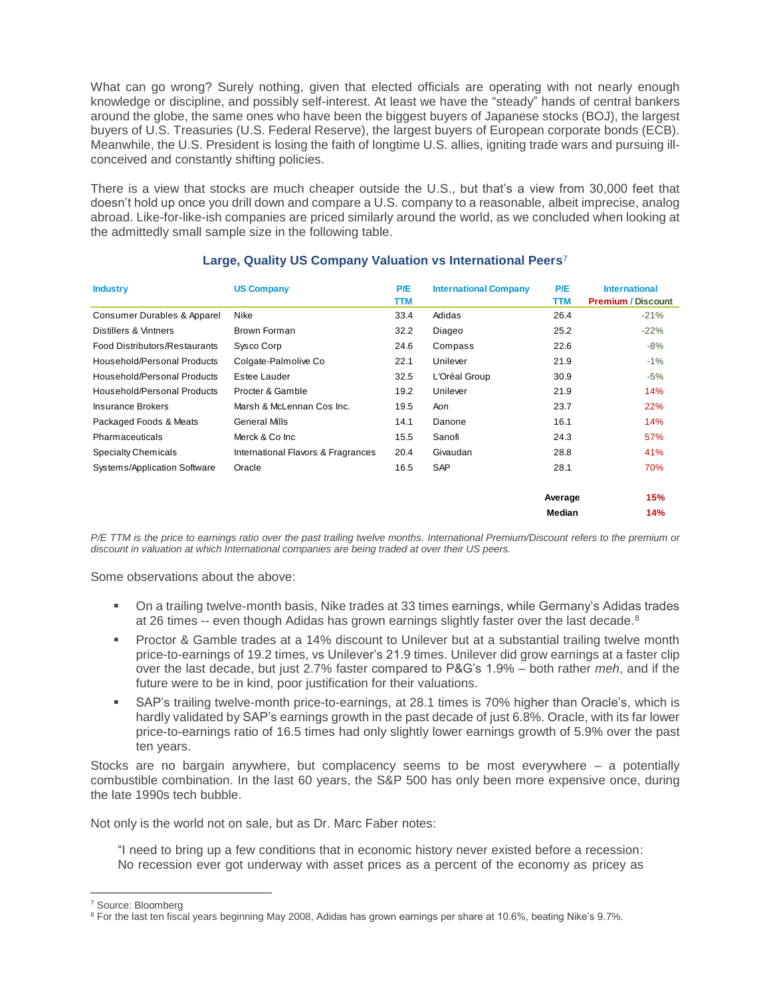What can go wrong? Surely nothing, given that elected officials are operating with not nearly enough knowledge or discipline, and possibly self-interest. At least we have the "steady" hands of central bankers around the globe, the same ones who have been the biggest buyers of Japanese stocks (BOJ), the largest buyers of U.S. Treasuries (U.S. Federal Reserve), the largest buyers of European corporate bonds (ECB). Meanwhile, the U.S. President is losing the faith of longtime U.S. allies, igniting trade wars and pursuing illconceived and constantly shifting policies.

There is a view that stocks are much cheaper outside the U.S., but that's a view from 30,000 feet that doesn't hold up once you drill down and compare a U.S. company to a reasonable, albeit imprecise, analog abroad. Like-for-like-ish companies are priced similarly around the world, as we concluded when looking at the admittedly small sample size in the following table.

| <b>Industry</b>               | <b>US Company</b>                  | P/E<br>TTM | <b>International Company</b> | P/E<br>TTM | <b>International</b><br><b>Premium / Discount</b> |
|-------------------------------|------------------------------------|------------|------------------------------|------------|---------------------------------------------------|
| Consumer Durables & Apparel   | <b>Nike</b>                        | 33.4       | Adidas                       | 26.4       | $-21%$                                            |
| Distillers & Vintners         | Brown Forman                       | 32.2       | Diageo                       | 25.2       | $-22%$                                            |
| Food Distributors/Restaurants | Sysco Corp                         | 24.6       | Compass                      | 22.6       | $-8%$                                             |
| Household/Personal Products   | Colgate-Palmolive Co               | 22.1       | Unilever                     | 21.9       | $-1%$                                             |
| Household/Personal Products   | Estee Lauder                       | 32.5       | L'Oréal Group                | 30.9       | $-5%$                                             |
| Household/Personal Products   | Procter & Gamble                   | 19.2       | Unilever                     | 21.9       | 14%                                               |
| <b>Insurance Brokers</b>      | Marsh & McLennan Cos Inc.          | 19.5       | Aon                          | 23.7       | 22%                                               |
| Packaged Foods & Meats        | <b>General Mills</b>               | 14.1       | Danone                       | 16.1       | 14%                                               |
| Pharmaceuticals               | Merck & Co Inc                     | 15.5       | Sanofi                       | 24.3       | 57%                                               |
| Specialty Chemicals           | International Flavors & Fragrances | 20.4       | Givaudan                     | 28.8       | 41%                                               |
| Systems/Application Software  | Oracle                             | 16.5       | <b>SAP</b>                   | 28.1       | 70%                                               |
|                               |                                    |            |                              | Average    | 15%                                               |
|                               |                                    |            |                              | Median     | 14%                                               |

### **Large, Quality US Company Valuation vs International Peers** 7

*P/E TTM is the price to earnings ratio over the past trailing twelve months. International Premium/Discount refers to the premium or discount in valuation at which International companies are being traded at over their US peers.* 

Some observations about the above:

- On a trailing twelve-month basis, Nike trades at 33 times earnings, while Germany's Adidas trades at 26 times -- even though Adidas has grown earnings slightly faster over the last decade.<sup>8</sup>
- Proctor & Gamble trades at a 14% discount to Unilever but at a substantial trailing twelve month price-to-earnings of 19.2 times, vs Unilever's 21.9 times. Unilever did grow earnings at a faster clip over the last decade, but just 2.7% faster compared to P&G's 1.9% – both rather *meh*, and if the future were to be in kind, poor justification for their valuations.
- SAP's trailing twelve-month price-to-earnings, at 28.1 times is 70% higher than Oracle's, which is hardly validated by SAP's earnings growth in the past decade of just 6.8%. Oracle, with its far lower price-to-earnings ratio of 16.5 times had only slightly lower earnings growth of 5.9% over the past ten years.

Stocks are no bargain anywhere, but complacency seems to be most everywhere – a potentially combustible combination. In the last 60 years, the S&P 500 has only been more expensive once, during the late 1990s tech bubble.

Not only is the world not on sale, but as Dr. Marc Faber notes:

"I need to bring up a few conditions that in economic history never existed before a recession: No recession ever got underway with asset prices as a percent of the economy as pricey as

 $\overline{a}$ 

<sup>7</sup> Source: Bloomberg

<sup>8</sup> For the last ten fiscal years beginning May 2008, Adidas has grown earnings per share at 10.6%, beating Nike's 9.7%.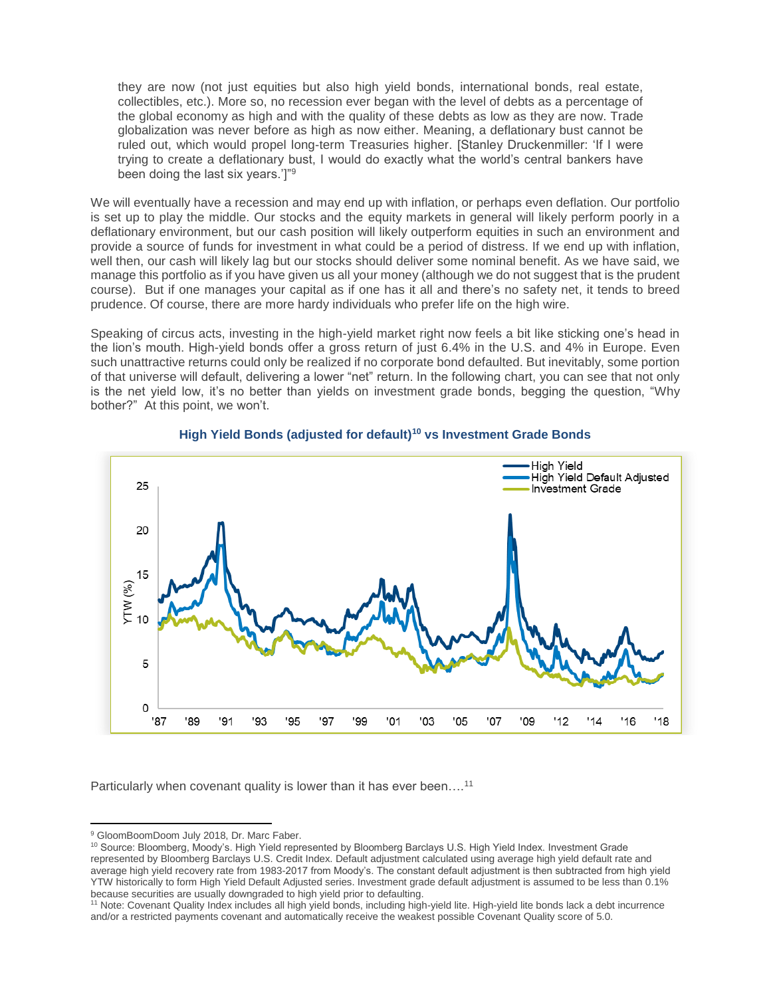they are now (not just equities but also high yield bonds, international bonds, real estate, collectibles, etc.). More so, no recession ever began with the level of debts as a percentage of the global economy as high and with the quality of these debts as low as they are now. Trade globalization was never before as high as now either. Meaning, a deflationary bust cannot be ruled out, which would propel long-term Treasuries higher. [Stanley Druckenmiller: 'If I were trying to create a deflationary bust, I would do exactly what the world's central bankers have been doing the last six years.']"<sup>9</sup>

We will eventually have a recession and may end up with inflation, or perhaps even deflation. Our portfolio is set up to play the middle. Our stocks and the equity markets in general will likely perform poorly in a deflationary environment, but our cash position will likely outperform equities in such an environment and provide a source of funds for investment in what could be a period of distress. If we end up with inflation, well then, our cash will likely lag but our stocks should deliver some nominal benefit. As we have said, we manage this portfolio as if you have given us all your money (although we do not suggest that is the prudent course). But if one manages your capital as if one has it all and there's no safety net, it tends to breed prudence. Of course, there are more hardy individuals who prefer life on the high wire.

Speaking of circus acts, investing in the high-yield market right now feels a bit like sticking one's head in the lion's mouth. High-yield bonds offer a gross return of just 6.4% in the U.S. and 4% in Europe. Even such unattractive returns could only be realized if no corporate bond defaulted. But inevitably, some portion of that universe will default, delivering a lower "net" return. In the following chart, you can see that not only is the net yield low, it's no better than yields on investment grade bonds, begging the question, "Why bother?" At this point, we won't.





Particularly when covenant quality is lower than it has ever been....<sup>11</sup>

 $\overline{a}$ <sup>9</sup> GloomBoomDoom July 2018, Dr. Marc Faber.

<sup>10</sup> Source: Bloomberg, Moody's. High Yield represented by Bloomberg Barclays U.S. High Yield Index. Investment Grade represented by Bloomberg Barclays U.S. Credit Index. Default adjustment calculated using average high yield default rate and average high yield recovery rate from 1983-2017 from Moody's. The constant default adjustment is then subtracted from high yield YTW historically to form High Yield Default Adjusted series. Investment grade default adjustment is assumed to be less than 0.1% because securities are usually downgraded to high yield prior to defaulting.

<sup>11</sup> Note: Covenant Quality Index includes all high yield bonds, including high-yield lite. High-yield lite bonds lack a debt incurrence and/or a restricted payments covenant and automatically receive the weakest possible Covenant Quality score of 5.0.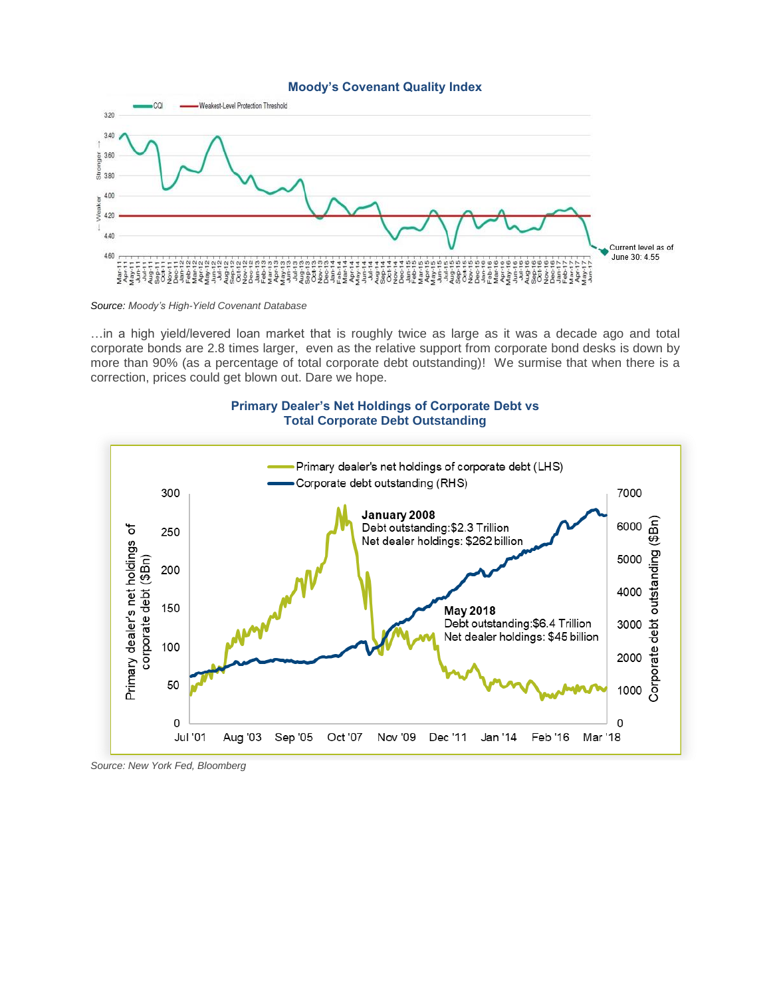#### **Moody's Covenant Quality Index**



*Source: Moody's High-Yield Covenant Database*

…in a high yield/levered loan market that is roughly twice as large as it was a decade ago and total corporate bonds are 2.8 times larger, even as the relative support from corporate bond desks is down by more than 90% (as a percentage of total corporate debt outstanding)! We surmise that when there is a correction, prices could get blown out. Dare we hope.

#### **Primary Dealer's Net Holdings of Corporate Debt vs Total Corporate Debt Outstanding**



*Source: New York Fed, Bloomberg*